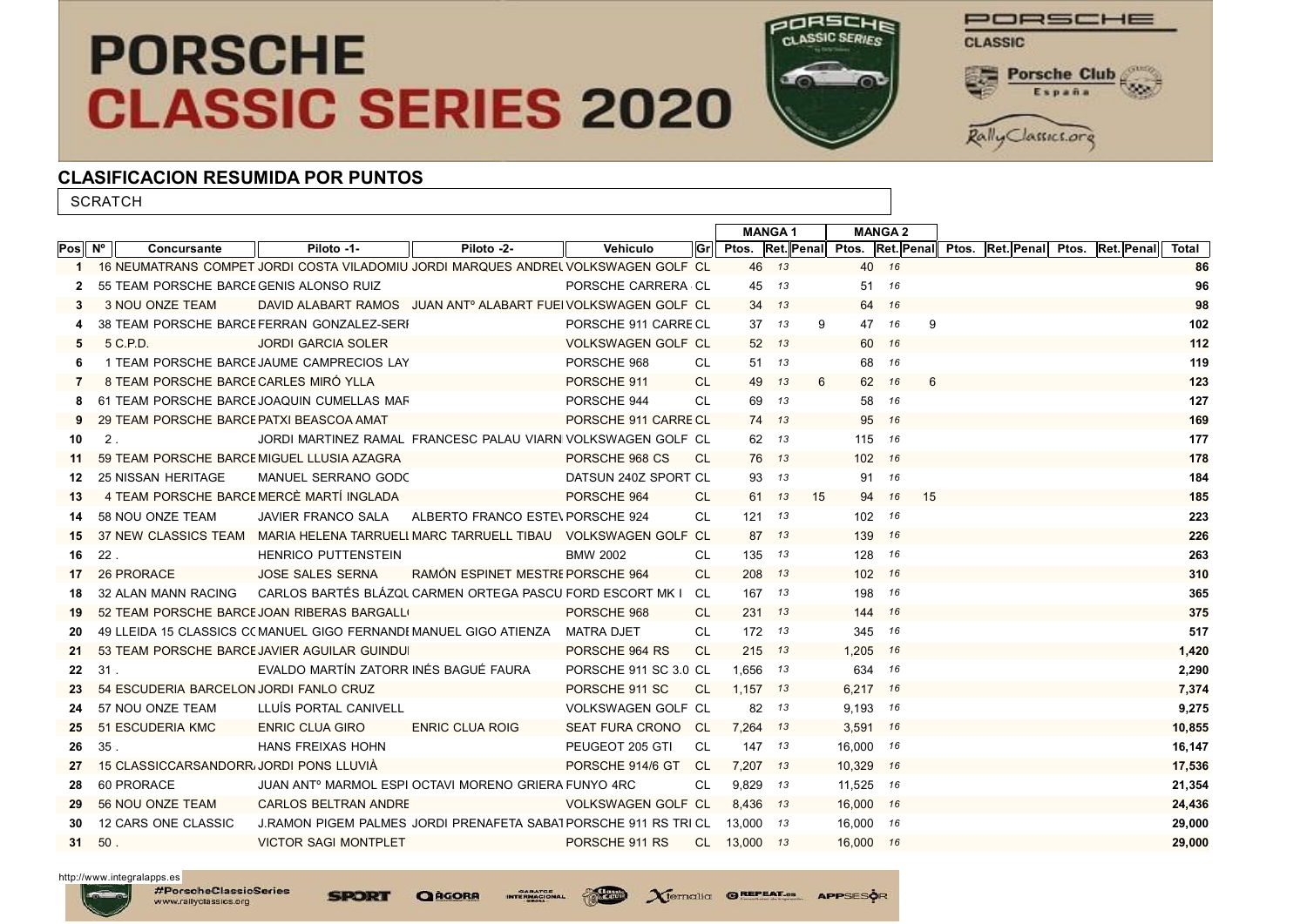## **PORSCHE CLASSIC SERIES 2020**



PORSCHE **CLASSIC** ouro 疆 Porsche Club España Rally Classics.org

## CLASIFICACION RESUMIDA POR PUNTOS

**SCRATCH** 

|        |                           |                                              |                                                                                    |                           |            |              | <b>MANGA1</b> |    |           | <b>MANGA 2</b> |                                                                            |  |        |  |
|--------|---------------------------|----------------------------------------------|------------------------------------------------------------------------------------|---------------------------|------------|--------------|---------------|----|-----------|----------------|----------------------------------------------------------------------------|--|--------|--|
| Pos Nº | Concursante               | Piloto -1-                                   | Piloto -2-                                                                         | Vehiculo                  | <b>Grl</b> |              |               |    |           |                | <b>Pros. Ret. Penal Pros. Ret. Penal Pros. Ret. Penal Pros. Ret. Penal</b> |  | Total  |  |
| 1.     |                           |                                              | 16 NEUMATRANS COMPET JORDI COSTA VILADOMIU JORDI MARQUES ANDREL VOLKSWAGEN GOLF CL |                           |            |              | 46 13         |    | 40 16     |                |                                                                            |  | 86     |  |
|        |                           | 55 TEAM PORSCHE BARCE GENIS ALONSO RUIZ      |                                                                                    | PORSCHE CARRERA CL        |            |              | 45 13         |    | 51 16     |                |                                                                            |  | 96     |  |
| 3      | 3 NOU ONZE TEAM           |                                              | DAVID ALABART RAMOS JUAN ANT <sup>o</sup> ALABART FUEI VOLKSWAGEN GOLF CL          |                           |            | 34           | 13            |    | 64 16     |                |                                                                            |  | 98     |  |
|        |                           | 38 TEAM PORSCHE BARCE FERRAN GONZALEZ-SERF   |                                                                                    | PORSCHE 911 CARRE CL      |            | 37           | 13            | 9  | 47 16     | 9              |                                                                            |  | 102    |  |
| 5      | 5 C.P.D.                  | <b>JORDI GARCIA SOLER</b>                    |                                                                                    | VOLKSWAGEN GOLF CL        |            |              | 52 13         |    | 60 16     |                |                                                                            |  | 112    |  |
| 6      |                           | 1 TEAM PORSCHE BARCE JAUME CAMPRECIOS LAY    |                                                                                    | PORSCHE 968               | CL         |              | 51 13         |    | 68 16     |                |                                                                            |  | 119    |  |
| 7      |                           | 8 TEAM PORSCHE BARCE CARLES MIRÓ YLLA        |                                                                                    | PORSCHE 911               | CL.        | 49           | 13            | 6  | 62        | 16             |                                                                            |  | 123    |  |
| 8      |                           | 61 TEAM PORSCHE BARCE JOAQUIN CUMELLAS MAR   |                                                                                    | PORSCHE 944               | CL         | 69           | 13            |    | 58        | - 16           |                                                                            |  | 127    |  |
|        |                           | 29 TEAM PORSCHE BARCE PATXI BEASCOA AMAT     |                                                                                    | PORSCHE 911 CARRE CL      |            |              | 74 13         |    | 95        | 16             |                                                                            |  | 169    |  |
| 10     | $2$ .                     |                                              | JORDI MARTINEZ RAMAL FRANCESC PALAU VIARN VOLKSWAGEN GOLF CL                       |                           |            |              | 62 13         |    | 115 16    |                |                                                                            |  | 177    |  |
| 11     |                           | 59 TEAM PORSCHE BARCE MIGUEL LLUSIA AZAGRA   |                                                                                    | PORSCHE 968 CS            | CL.        |              | 76 13         |    | 102 16    |                |                                                                            |  | 178    |  |
| 12     | <b>25 NISSAN HERITAGE</b> | MANUEL SERRANO GODC                          |                                                                                    | DATSUN 240Z SPORT CL      |            | 93           | 13            |    | 91        | 16             |                                                                            |  | 184    |  |
| 13     |                           | 4 TEAM PORSCHE BARCE MERCÈ MARTÍ INGLADA     |                                                                                    | PORSCHE 964               | CL.        |              | 61 13         | 15 | 94 16     | 15             |                                                                            |  | 185    |  |
| 14     | 58 NOU ONZE TEAM          | JAVIER FRANCO SALA                           | ALBERTO FRANCO ESTE\ PORSCHE 924                                                   |                           | CL         | 121          | - 13          |    | 102 16    |                |                                                                            |  | 223    |  |
| 15     |                           |                                              | 37 NEW CLASSICS TEAM MARIA HELENA TARRUELL MARC TARRUELL TIBAU VOLKSWAGEN GOLF CL  |                           |            |              | 87 13         |    | 139       | 16             |                                                                            |  | 226    |  |
| 16     | 22.                       | HENRICO PUTTENSTEIN                          |                                                                                    | <b>BMW 2002</b>           | CL         | 135 13       |               |    | 128       | 16             |                                                                            |  | 263    |  |
| 17     | 26 PRORACE                | <b>JOSE SALES SERNA</b>                      | RAMÓN ESPINET MESTRE PORSCHE 964                                                   |                           | CL.        |              | 208 13        |    | 102 16    |                |                                                                            |  | 310    |  |
| 18     | 32 ALAN MANN RACING       |                                              | CARLOS BARTÉS BLÁZQU CARMEN ORTEGA PASCU FORD ESCORT MK I CL                       |                           |            | 167 13       |               |    | 198       | 16             |                                                                            |  | 365    |  |
| 19     |                           | 52 TEAM PORSCHE BARCE JOAN RIBERAS BARGALLO  |                                                                                    | PORSCHE 968               | CL         | 231 13       |               |    | 144 16    |                |                                                                            |  | 375    |  |
| 20     |                           |                                              | 49 LLEIDA 15 CLASSICS C( MANUEL GIGO FERNANDI MANUEL GIGO ATIENZA MATRA DJET       |                           | CL         |              | 172 13        |    | 345 16    |                |                                                                            |  | 517    |  |
| 21     |                           | 53 TEAM PORSCHE BARCE JAVIER AGUILAR GUINDUI |                                                                                    | PORSCHE 964 RS            | CL.        |              | $215$ $13$    |    | 1.205 16  |                |                                                                            |  | 1,420  |  |
| 22     | 31.                       | EVALDO MARTÍN ZATORR INÉS BAGUÉ FAURA        |                                                                                    | PORSCHE 911 SC 3.0 CL     |            | 1.656 13     |               |    | 634 16    |                |                                                                            |  | 2,290  |  |
| 23     |                           | 54 ESCUDERIA BARCELON JORDI FANLO CRUZ       |                                                                                    | PORSCHE 911 SC            | CL         | $1,157$ 13   |               |    | 6,217 16  |                |                                                                            |  | 7,374  |  |
| 24     | 57 NOU ONZE TEAM          | LLUIS PORTAL CANIVELL                        |                                                                                    | VOLKSWAGEN GOLF CL        |            |              | 82 13         |    | 9,193 16  |                |                                                                            |  | 9,275  |  |
| 25     | 51 ESCUDERIA KMC          | <b>ENRIC CLUA GIRO</b>                       | <b>ENRIC CLUA ROIG</b>                                                             | SEAT FURA CRONO CL        |            | 7,264 13     |               |    | 3.591 16  |                |                                                                            |  | 10,855 |  |
| 26     | $35$ .                    | HANS FREIXAS HOHN                            |                                                                                    | PEUGEOT 205 GTI           | CL.        |              | 147 13        |    | 16,000 16 |                |                                                                            |  | 16,147 |  |
| 27     |                           | 15 CLASSICCARSANDORR, JORDI PONS LLUVIA      |                                                                                    | PORSCHE 914/6 GT          | - CL       | 7,207 13     |               |    | 10,329 16 |                |                                                                            |  | 17,536 |  |
| 28     | 60 PRORACE                |                                              | JUAN ANT <sup>o</sup> MARMOL ESPI OCTAVI MORENO GRIERA FUNYO 4RC                   |                           | CL         | 9,829 13     |               |    | 11,525 16 |                |                                                                            |  | 21,354 |  |
| 29     | 56 NOU ONZE TEAM          | <b>CARLOS BELTRAN ANDRE</b>                  |                                                                                    | <b>VOLKSWAGEN GOLF CL</b> |            | 8.436 13     |               |    | 16,000 16 |                |                                                                            |  | 24,436 |  |
| 30     | 12 CARS ONE CLASSIC       |                                              | J.RAMON PIGEM PALMES JORDI PRENAFETA SABA1PORSCHE 911 RS TRI CL                    |                           |            | 13.000 13    |               |    | 16.000 16 |                |                                                                            |  | 29,000 |  |
| 31     | 50.                       | <b>VICTOR SAGI MONTPLET</b>                  |                                                                                    | PORSCHE 911 RS            |            | CL 13,000 13 |               |    | 16.000 16 |                |                                                                            |  | 29,000 |  |

**Classic** 

http://www.integralapps.es

**SPORT**